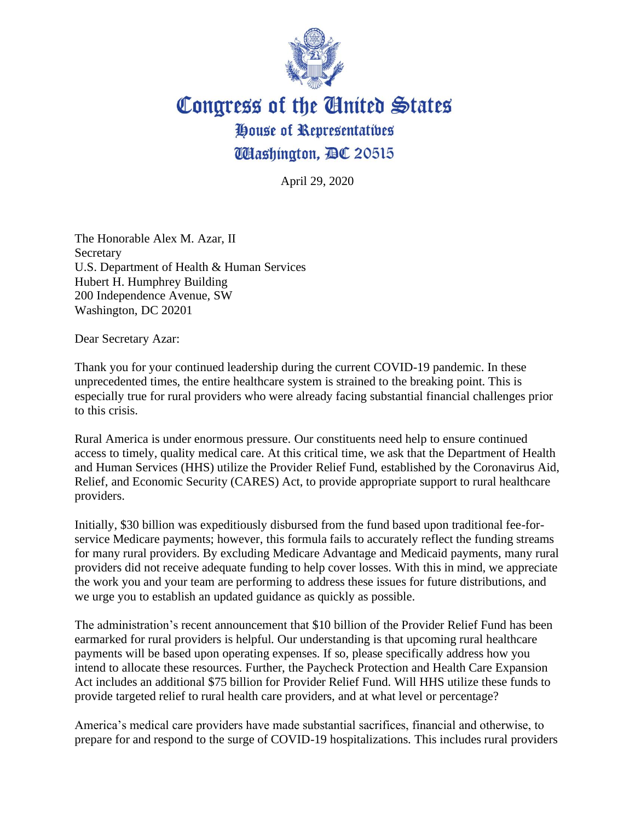

## Congress of the United States House of Representatives **Washington, AC 20515**

April 29, 2020

The Honorable Alex M. Azar, II **Secretary** U.S. Department of Health & Human Services Hubert H. Humphrey Building 200 Independence Avenue, SW Washington, DC 20201

Dear Secretary Azar:

Thank you for your continued leadership during the current COVID-19 pandemic. In these unprecedented times, the entire healthcare system is strained to the breaking point. This is especially true for rural providers who were already facing substantial financial challenges prior to this crisis.

Rural America is under enormous pressure. Our constituents need help to ensure continued access to timely, quality medical care. At this critical time, we ask that the Department of Health and Human Services (HHS) utilize the Provider Relief Fund, established by the Coronavirus Aid, Relief, and Economic Security (CARES) Act, to provide appropriate support to rural healthcare providers.

Initially, \$30 billion was expeditiously disbursed from the fund based upon traditional fee-forservice Medicare payments; however, this formula fails to accurately reflect the funding streams for many rural providers. By excluding Medicare Advantage and Medicaid payments, many rural providers did not receive adequate funding to help cover losses. With this in mind, we appreciate the work you and your team are performing to address these issues for future distributions, and we urge you to establish an updated guidance as quickly as possible.

The administration's recent announcement that \$10 billion of the Provider Relief Fund has been earmarked for rural providers is helpful. Our understanding is that upcoming rural healthcare payments will be based upon operating expenses. If so, please specifically address how you intend to allocate these resources. Further, the Paycheck Protection and Health Care Expansion Act includes an additional \$75 billion for Provider Relief Fund. Will HHS utilize these funds to provide targeted relief to rural health care providers, and at what level or percentage?

America's medical care providers have made substantial sacrifices, financial and otherwise, to prepare for and respond to the surge of COVID-19 hospitalizations. This includes rural providers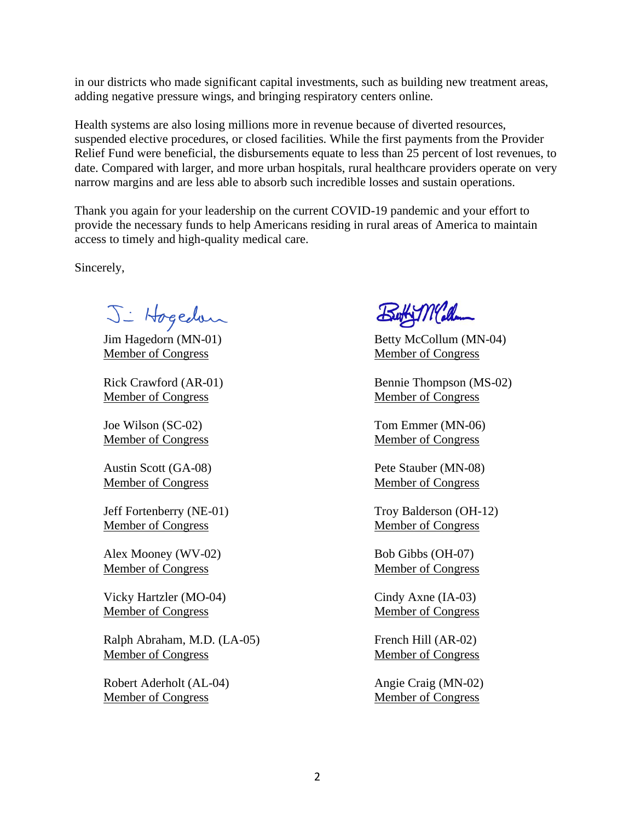in our districts who made significant capital investments, such as building new treatment areas, adding negative pressure wings, and bringing respiratory centers online.

Health systems are also losing millions more in revenue because of diverted resources, suspended elective procedures, or closed facilities. While the first payments from the Provider Relief Fund were beneficial, the disbursements equate to less than 25 percent of lost revenues, to date. Compared with larger, and more urban hospitals, rural healthcare providers operate on very narrow margins and are less able to absorb such incredible losses and sustain operations.

Thank you again for your leadership on the current COVID-19 pandemic and your effort to provide the necessary funds to help Americans residing in rural areas of America to maintain access to timely and high-quality medical care.

Sincerely,

J - Hogedon

Jim Hagedorn (MN-01) Member of Congress

Rick Crawford (AR-01) Member of Congress

Joe Wilson (SC-02) Member of Congress

Austin Scott (GA-08) Member of Congress

Jeff Fortenberry (NE-01) Member of Congress

Alex Mooney (WV-02) Member of Congress

Vicky Hartzler (MO-04) Member of Congress

Ralph Abraham, M.D. (LA-05) Member of Congress

Robert Aderholt (AL-04) Member of Congress

Buty Malla

Betty McCollum (MN-04) Member of Congress

Bennie Thompson (MS-02) Member of Congress

Tom Emmer (MN-06) Member of Congress

Pete Stauber (MN-08) Member of Congress

Troy Balderson (OH-12) Member of Congress

Bob Gibbs (OH-07) Member of Congress

Cindy Axne (IA-03) Member of Congress

French Hill (AR-02) Member of Congress

Angie Craig (MN-02) Member of Congress